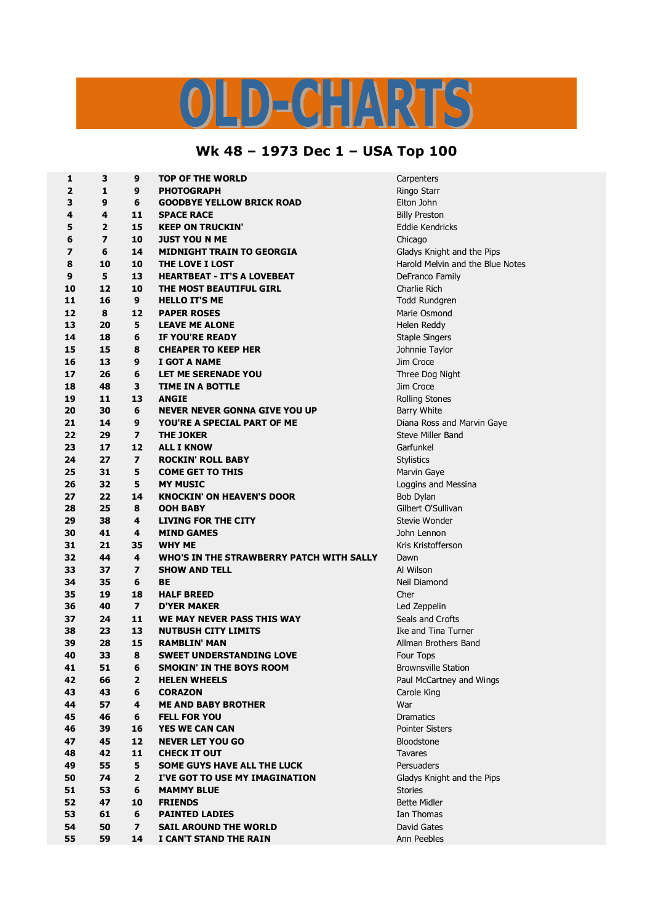## LD-CHARTS

## **Wk 48 – 1973 Dec 1 – USA Top 100**

| 1        | 3              | 9                        | <b>TOP OF THE WORLD</b>                  | Carpenters                       |
|----------|----------------|--------------------------|------------------------------------------|----------------------------------|
| 2        | 1              | 9                        | <b>PHOTOGRAPH</b>                        | Ringo Starr                      |
| 3        | 9              | 6                        | <b>GOODBYE YELLOW BRICK ROAD</b>         | Elton John                       |
| 4        | 4              | 11                       | <b>SPACE RACE</b>                        | <b>Billy Preston</b>             |
| 5        | $\overline{2}$ | 15                       | <b>KEEP ON TRUCKIN'</b>                  | Eddie Kendricks                  |
| 6        | $\overline{ }$ | 10                       | <b>JUST YOU N ME</b>                     | Chicago                          |
| 7        | 6              | 14                       | <b>MIDNIGHT TRAIN TO GEORGIA</b>         | Gladys Knight and the Pips       |
| 8        | 10             | 10                       | THE LOVE I LOST                          | Harold Melvin and the Blue Notes |
| 9        | 5              | 13                       | <b>HEARTBEAT - IT'S A LOVEBEAT</b>       | DeFranco Family                  |
| 10       | 12             | 10                       | THE MOST BEAUTIFUL GIRL                  | Charlie Rich                     |
| 11       | 16             | 9                        | <b>HELLO IT'S ME</b>                     | <b>Todd Rundgren</b>             |
| 12       | 8              | 12                       | <b>PAPER ROSES</b>                       | Marie Osmond                     |
| 13       | 20             | 5                        | <b>LEAVE ME ALONE</b>                    | Helen Reddy                      |
| 14       | 18             | 6                        | IF YOU'RE READY                          | <b>Staple Singers</b>            |
| 15       | 15             | 8                        | <b>CHEAPER TO KEEP HER</b>               | Johnnie Taylor                   |
| 16       | 13             | 9                        | I GOT A NAME                             | Jim Croce                        |
| 17       | 26             | 6                        | LET ME SERENADE YOU                      | Three Dog Night                  |
| 18       | 48             | 3                        | <b>TIME IN A BOTTLE</b>                  | Jim Croce                        |
| 19       | 11             | 13                       | <b>ANGIE</b>                             | <b>Rolling Stones</b>            |
| 20       | 30             | 6                        | <b>NEVER NEVER GONNA GIVE YOU UP</b>     | Barry White                      |
| 21       | 14             | 9                        | YOU'RE A SPECIAL PART OF ME              | Diana Ross and Marvin Gaye       |
| 22       | 29             | $\overline{\mathbf{z}}$  | <b>THE JOKER</b>                         | <b>Steve Miller Band</b>         |
| 23       | 17             | 12                       | <b>ALL I KNOW</b>                        | Garfunkel                        |
| 24       | 27             | $\overline{\mathbf{z}}$  | <b>ROCKIN' ROLL BABY</b>                 | <b>Stylistics</b>                |
| 25       | 31             | 5                        | <b>COME GET TO THIS</b>                  | Marvin Gaye                      |
| 26       | 32             | 5                        | <b>MY MUSIC</b>                          | Loggins and Messina              |
| 27       | 22             | 14                       | <b>KNOCKIN' ON HEAVEN'S DOOR</b>         | Bob Dylan                        |
| 28       | 25             | 8                        | <b>OOH BABY</b>                          | Gilbert O'Sullivan               |
| 29       | 38             | 4                        | <b>LIVING FOR THE CITY</b>               | Stevie Wonder                    |
| 30       | 41             | 4                        | <b>MIND GAMES</b>                        | John Lennon                      |
| 31       | 21             | 35                       | <b>WHY ME</b>                            | Kris Kristofferson               |
| 32       | 44             | 4                        | WHO'S IN THE STRAWBERRY PATCH WITH SALLY | Dawn                             |
| 33       | 37             | $\overline{\mathbf{z}}$  | <b>SHOW AND TELL</b>                     | Al Wilson                        |
| 34       | 35             | 6                        | BE                                       | Neil Diamond                     |
| 35       | 19             | 18                       | <b>HALF BREED</b>                        | Cher                             |
| 36       | 40             | $\overline{\phantom{a}}$ | <b>D'YER MAKER</b>                       | Led Zeppelin                     |
| 37       | 24             | 11                       | WE MAY NEVER PASS THIS WAY               | Seals and Crofts                 |
| 38       | 23             | 13                       | <b>NUTBUSH CITY LIMITS</b>               | Ike and Tina Turner              |
| 39       | 28             | 15                       | <b>RAMBLIN' MAN</b>                      | Allman Brothers Band             |
| 40       | 33             | 8                        | <b>SWEET UNDERSTANDING LOVE</b>          | Four Tops                        |
| 41       | 51             | 6                        | <b>SMOKIN' IN THE BOYS ROOM</b>          | <b>Brownsville Station</b>       |
| 42       | 66             | 2                        | <b>HELEN WHEELS</b>                      | Paul McCartney and Wings         |
| 43       | 43             | 6                        | <b>CORAZON</b>                           | Carole King                      |
| 44       | 57             | 4                        | <b>ME AND BABY BROTHER</b>               | War                              |
| 45       | 46             | 6                        | <b>FELL FOR YOU</b>                      | <b>Dramatics</b>                 |
| 46       | 39             | 16                       | YES WE CAN CAN                           | <b>Pointer Sisters</b>           |
| 47       | 45             | 12                       | <b>NEVER LET YOU GO</b>                  |                                  |
|          | 42             | 11                       | <b>CHECK IT OUT</b>                      | Bloodstone<br><b>Tavares</b>     |
| 48<br>49 | 55             | 5                        | <b>SOME GUYS HAVE ALL THE LUCK</b>       | Persuaders                       |
|          |                |                          |                                          |                                  |
| 50       | 74             | $\overline{2}$           | I'VE GOT TO USE MY IMAGINATION           | Gladys Knight and the Pips       |
| 51       | 53             | 6                        | <b>MAMMY BLUE</b>                        | <b>Stories</b>                   |
| 52       | 47             | 10                       | <b>FRIENDS</b>                           | <b>Bette Midler</b>              |
| 53       | 61             | 6                        | <b>PAINTED LADIES</b>                    | Ian Thomas                       |
| 54       | 50             | $\overline{ }$           | <b>SAIL AROUND THE WORLD</b>             | David Gates                      |
| 55       | 59             | 14                       | I CAN'T STAND THE RAIN                   | Ann Peebles                      |